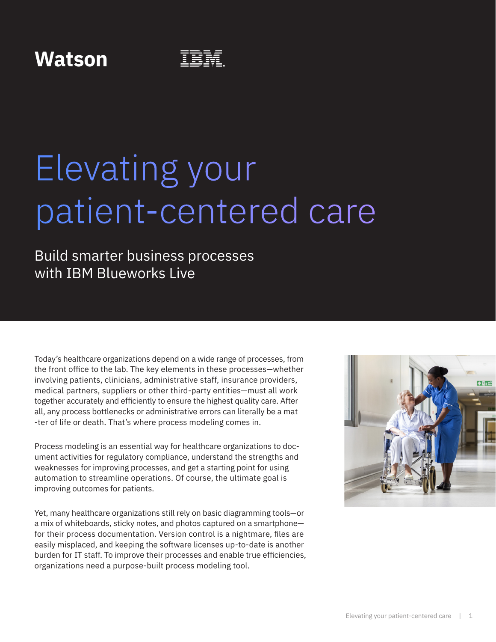### **Watson**

# Elevating your patient-centered care

### Build smarter business processes with IBM Blueworks Live

Today's healthcare organizations depend on a wide range of processes, from the front office to the lab. The key elements in these processes—whether involving patients, clinicians, administrative staff, insurance providers, medical partners, suppliers or other third-party entities—must all work together accurately and efficiently to ensure the highest quality care. After all, any process bottlenecks or administrative errors can literally be a mat -ter of life or death. That's where process modeling comes in.

Process modeling is an essential way for healthcare organizations to document activities for regulatory compliance, understand the strengths and weaknesses for improving processes, and get a starting point for using automation to streamline operations. Of course, the ultimate goal is improving outcomes for patients.

Yet, many healthcare organizations still rely on basic diagramming tools—or a mix of whiteboards, sticky notes, and photos captured on a smartphone for their process documentation. Version control is a nightmare, files are easily misplaced, and keeping the software licenses up-to-date is another burden for IT staff. To improve their processes and enable true efficiencies, organizations need a purpose-built process modeling tool.

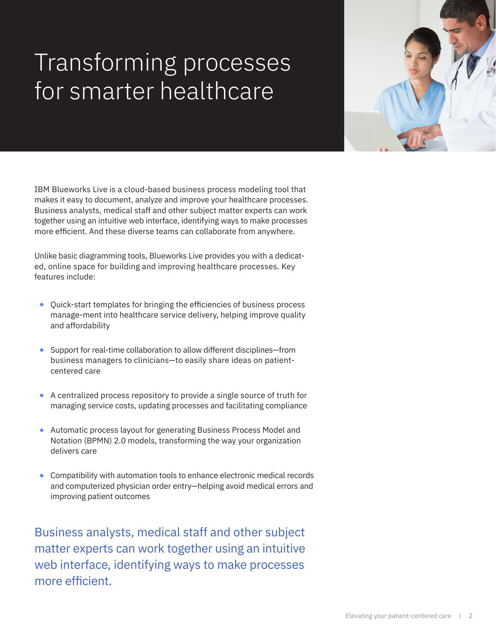## Transforming processes for smarter healthcare

IBM Blueworks Live is a cloud-based business process modeling tool that makes it easy to document, analyze and improve your healthcare processes. Business analysts, medical staff and other subject matter experts can work together using an intuitive web interface, identifying ways to make processes more efficient. And these diverse teams can collaborate from anywhere.

Unlike basic diagramming tools, Blueworks Live provides you with a dedicated, online space for building and improving healthcare processes. Key features include:

- **•** Quick-start templates for bringing the efficiencies of business process manage-ment into healthcare service delivery, helping improve quality and affordability
- **•** Support for real-time collaboration to allow different disciplines—from business managers to clinicians—to easily share ideas on patientcentered care
- **•** A centralized process repository to provide a single source of truth for managing service costs, updating processes and facilitating compliance
- **•** Automatic process layout for generating Business Process Model and Notation (BPMN) 2.0 models, transforming the way your organization delivers care
- **•** Compatibility with automation tools to enhance electronic medical records and computerized physician order entry—helping avoid medical errors and improving patient outcomes

Business analysts, medical staff and other subject matter experts can work together using an intuitive web interface, identifying ways to make processes more efficient.